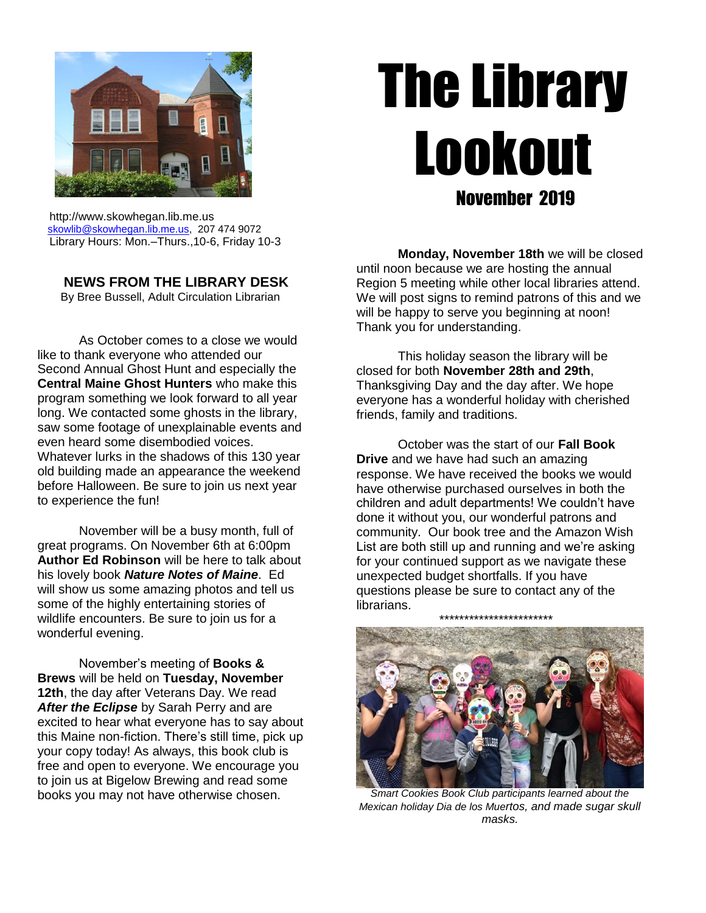

# The Library Lookout November 2019

 http://www.skowhegan.lib.me.us [skowlib@skowhegan.lib.me.us,](mailto:skowlib@skowhegan.lib.me.us) 207 474 9072 Library Hours: Mon.–Thurs.,10-6, Friday 10-3

# **NEWS FROM THE LIBRARY DESK**

By Bree Bussell, Adult Circulation Librarian

As October comes to a close we would like to thank everyone who attended our Second Annual Ghost Hunt and especially the **Central Maine Ghost Hunters** who make this program something we look forward to all year long. We contacted some ghosts in the library, saw some footage of unexplainable events and even heard some disembodied voices. Whatever lurks in the shadows of this 130 year old building made an appearance the weekend before Halloween. Be sure to join us next year to experience the fun!

November will be a busy month, full of great programs. On November 6th at 6:00pm **Author Ed Robinson** will be here to talk about his lovely book *Nature Notes of Maine*. Ed will show us some amazing photos and tell us some of the highly entertaining stories of wildlife encounters. Be sure to join us for a wonderful evening.

November's meeting of **Books & Brews** will be held on **Tuesday, November 12th**, the day after Veterans Day. We read *After the Eclipse* by Sarah Perry and are excited to hear what everyone has to say about this Maine non-fiction. There's still time, pick up your copy today! As always, this book club is free and open to everyone. We encourage you to join us at Bigelow Brewing and read some books you may not have otherwise chosen.

**Monday, November 18th** we will be closed until noon because we are hosting the annual Region 5 meeting while other local libraries attend. We will post signs to remind patrons of this and we will be happy to serve you beginning at noon! Thank you for understanding.

This holiday season the library will be closed for both **November 28th and 29th**, Thanksgiving Day and the day after. We hope everyone has a wonderful holiday with cherished friends, family and traditions.

October was the start of our **Fall Book Drive** and we have had such an amazing response. We have received the books we would have otherwise purchased ourselves in both the children and adult departments! We couldn't have done it without you, our wonderful patrons and community. Our book tree and the Amazon Wish List are both still up and running and we're asking for your continued support as we navigate these unexpected budget shortfalls. If you have questions please be sure to contact any of the librarians.

\*\*\*\*\*\*\*\*\*\*\*\*\*\*\*\*\*\*\*\*\*\*\*

*Smart Cookies Book Club participants learned about the Mexican holiday Dia de los Muertos, and made sugar skull masks.*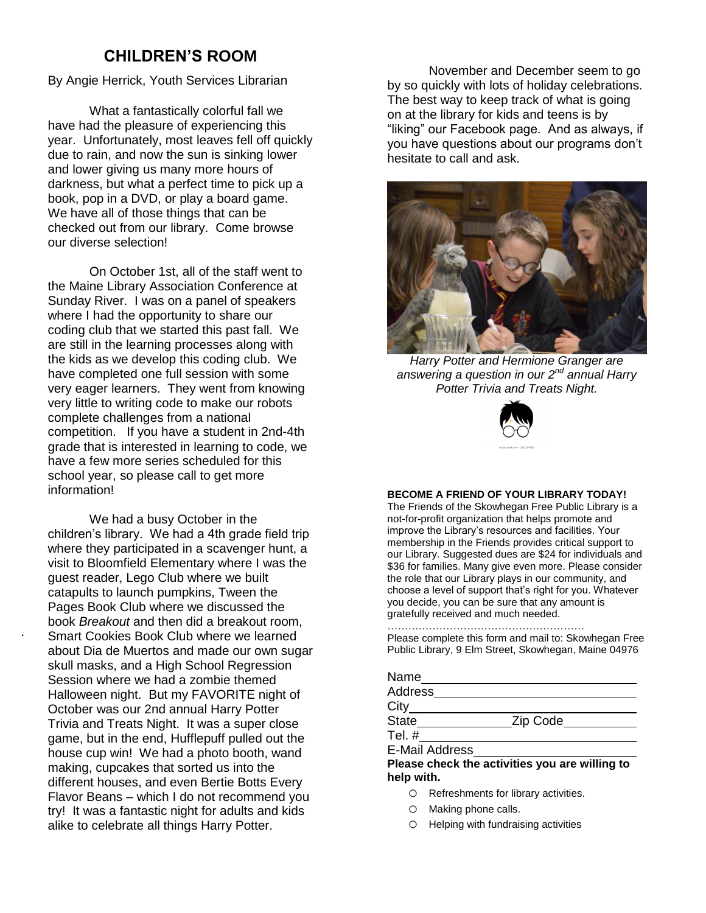# **CHILDREN'S ROOM**

By Angie Herrick, Youth Services Librarian

What a fantastically colorful fall we have had the pleasure of experiencing this year. Unfortunately, most leaves fell off quickly due to rain, and now the sun is sinking lower and lower giving us many more hours of darkness, but what a perfect time to pick up a book, pop in a DVD, or play a board game. We have all of those things that can be checked out from our library. Come browse our diverse selection!

On October 1st, all of the staff went to the Maine Library Association Conference at Sunday River. I was on a panel of speakers where I had the opportunity to share our coding club that we started this past fall. We are still in the learning processes along with the kids as we develop this coding club. We have completed one full session with some very eager learners. They went from knowing very little to writing code to make our robots complete challenges from a national competition. If you have a student in 2nd-4th grade that is interested in learning to code, we have a few more series scheduled for this school year, so please call to get more information!

We had a busy October in the children's library. We had a 4th grade field trip where they participated in a scavenger hunt, a visit to Bloomfield Elementary where I was the guest reader, Lego Club where we built catapults to launch pumpkins, Tween the Pages Book Club where we discussed the book *Breakout* and then did a breakout room, Smart Cookies Book Club where we learned about Dia de Muertos and made our own sugar skull masks, and a High School Regression Session where we had a zombie themed Halloween night. But my FAVORITE night of October was our 2nd annual Harry Potter Trivia and Treats Night. It was a super close game, but in the end, Hufflepuff pulled out the house cup win! We had a photo booth, wand making, cupcakes that sorted us into the different houses, and even Bertie Botts Every Flavor Beans – which I do not recommend you try! It was a fantastic night for adults and kids alike to celebrate all things Harry Potter.

.

November and December seem to go by so quickly with lots of holiday celebrations. The best way to keep track of what is going on at the library for kids and teens is by "liking" our Facebook page. And as always, if you have questions about our programs don't hesitate to call and ask.



*Harry Potter and Hermione Granger are answering a question in our 2nd annual Harry Potter Trivia and Treats Night.*



#### **BECOME A FRIEND OF YOUR LIBRARY TODAY!**

The Friends of the Skowhegan Free Public Library is a not-for-profit organization that helps promote and improve the Library's resources and facilities. Your membership in the Friends provides critical support to our Library. Suggested dues are \$24 for individuals and \$36 for families. Many give even more. Please consider the role that our Library plays in our community, and choose a level of support that's right for you. Whatever you decide, you can be sure that any amount is gratefully received and much needed.

#### ………………………………………………… Please complete this form and mail to: Skowhegan Free Public Library, 9 Elm Street, Skowhegan, Maine 04976

| <b>Address</b> |          |
|----------------|----------|
| City           |          |
| <b>State</b>   | Zip Code |
| Tel. $#$       |          |
| E-Mail Address |          |

- o Refreshments for library activities.
- o Making phone calls.
- o Helping with fundraising activities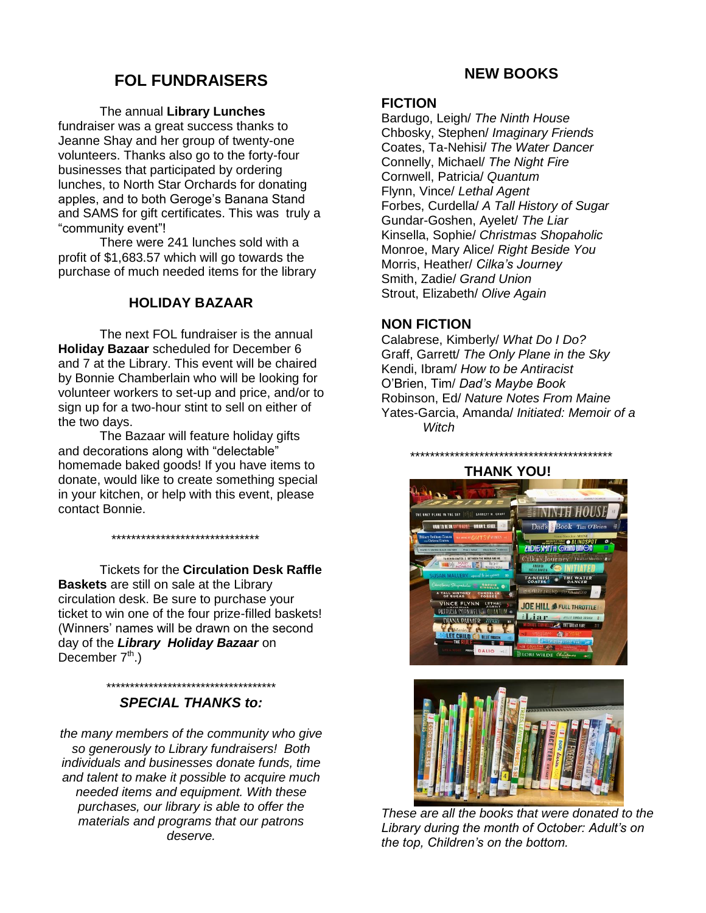# **FOL FUNDRAISERS**

#### The annual **Library Lunches**

fundraiser was a great success thanks to Jeanne Shay and her group of twenty-one volunteers. Thanks also go to the forty-four businesses that participated by ordering lunches, to North Star Orchards for donating apples, and to both Geroge's Banana Stand and SAMS for gift certificates. This was truly a "community event"!

There were 241 lunches sold with a profit of \$1,683.57 which will go towards the purchase of much needed items for the library

## **HOLIDAY BAZAAR**

The next FOL fundraiser is the annual **Holiday Bazaar** scheduled for December 6 and 7 at the Library. This event will be chaired by Bonnie Chamberlain who will be looking for volunteer workers to set-up and price, and/or to sign up for a two-hour stint to sell on either of the two days.

The Bazaar will feature holiday gifts and decorations along with "delectable" homemade baked goods! If you have items to donate, would like to create something special in your kitchen, or help with this event, please contact Bonnie.

\*\*\*\*\*\*\*\*\*\*\*\*\*\*\*\*\*\*\*\*\*\*\*\*\*\*\*\*\*\*

Tickets for the **Circulation Desk Raffle Baskets** are still on sale at the Library circulation desk. Be sure to purchase your ticket to win one of the four prize-filled baskets! (Winners' names will be drawn on the second day of the *Library Holiday Bazaar* on December  $7<sup>th</sup>$ .)

#### \*\*\*\*\*\*\*\*\*\*\*\*\*\*\*\*\*\*\*\*\*\*\*\*\*\*\*\*\*\*\*\*\*\*\*\* *SPECIAL THANKS to:*

*the many members of the community who give so generously to Library fundraisers! Both individuals and businesses donate funds, time and talent to make it possible to acquire much needed items and equipment. With these purchases, our library is able to offer the materials and programs that our patrons deserve.*

# **NEW BOOKS**

#### **FICTION**

Bardugo, Leigh/ *The Ninth House* Chbosky, Stephen/ *Imaginary Friends* Coates, Ta-Nehisi/ *The Water Dancer* Connelly, Michael/ *The Night Fire* Cornwell, Patricia/ *Quantum* Flynn, Vince/ *Lethal Agent* Forbes, Curdella/ *A Tall History of Sugar* Gundar-Goshen, Ayelet/ *The Liar* Kinsella, Sophie/ *Christmas Shopaholic* Monroe, Mary Alice/ *Right Beside You* Morris, Heather/ *Cilka's Journey* Smith, Zadie/ *Grand Union* Strout, Elizabeth/ *Olive Again*

## **NON FICTION**

Calabrese, Kimberly/ *What Do I Do?* Graff, Garrett/ *The Only Plane in the Sky* Kendi, Ibram/ *How to be Antiracist* O'Brien, Tim/ *Dad's Maybe Book* Robinson, Ed/ *Nature Notes From Maine* Yates-Garcia, Amanda/ *Initiated: Memoir of a Witch*

 *\*\*\*\*\*\*\*\*\*\*\*\*\*\*\*\*\*\*\*\*\*\*\*\*\*\*\*\*\*\*\*\*\*\*\*\*\*\*\*\*\**





*These are all the books that were donated to the Library during the month of October: Adult's on the top, Children's on the bottom.*